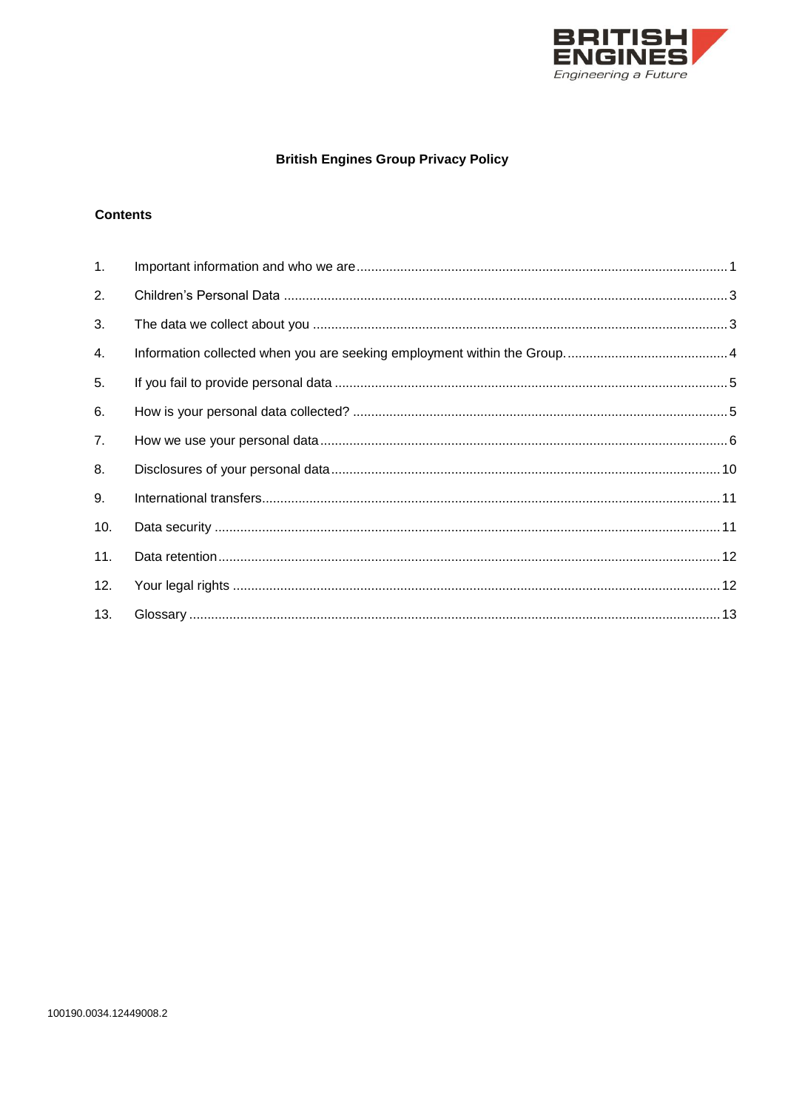

# **British Engines Group Privacy Policy**

## **Contents**

| 1.  |  |
|-----|--|
| 2.  |  |
| 3.  |  |
| 4.  |  |
| 5.  |  |
| 6.  |  |
| 7.  |  |
| 8.  |  |
| 9.  |  |
| 10. |  |
| 11. |  |
| 12. |  |
| 13. |  |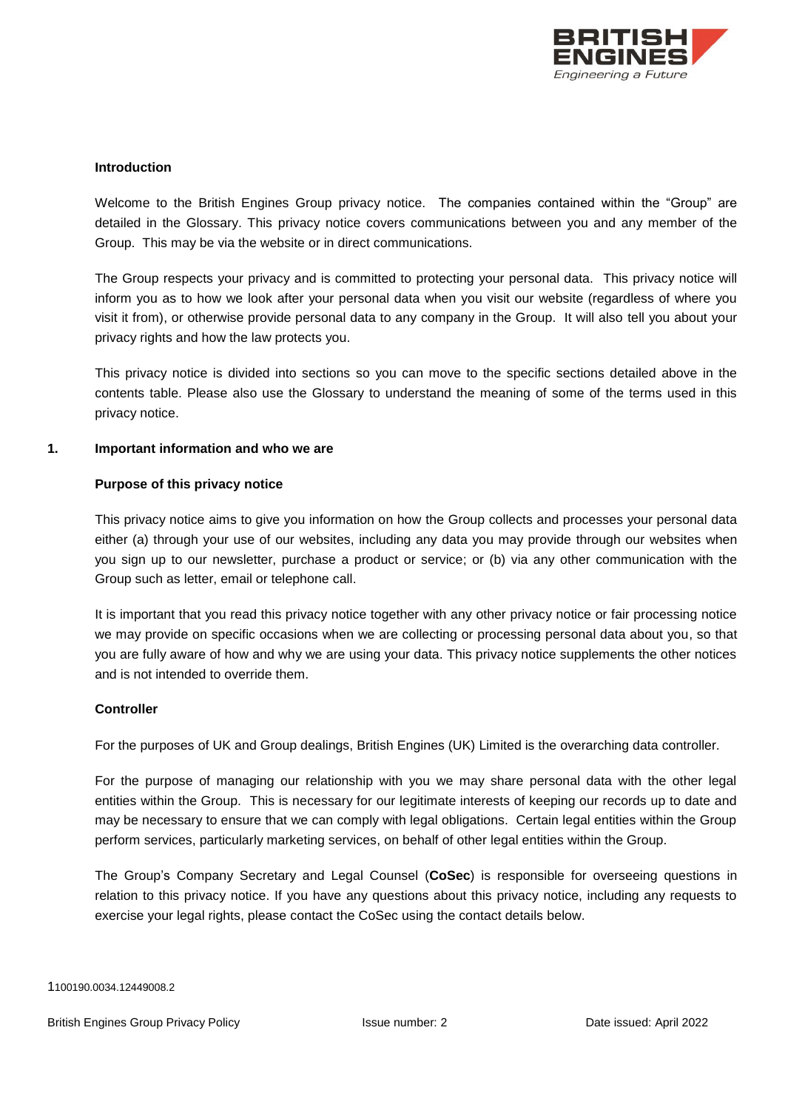

## **Introduction**

Welcome to the British Engines Group privacy notice. The companies contained within the "Group" are detailed in the Glossary. This privacy notice covers communications between you and any member of the Group. This may be via the website or in direct communications.

The Group respects your privacy and is committed to protecting your personal data. This privacy notice will inform you as to how we look after your personal data when you visit our website (regardless of where you visit it from), or otherwise provide personal data to any company in the Group. It will also tell you about your privacy rights and how the law protects you.

This privacy notice is divided into sections so you can move to the specific sections detailed above in the contents table. Please also use the Glossary to understand the meaning of some of the terms used in this privacy notice.

#### <span id="page-1-0"></span>**1. Important information and who we are**

## **Purpose of this privacy notice**

This privacy notice aims to give you information on how the Group collects and processes your personal data either (a) through your use of our websites, including any data you may provide through our websites when you sign up to our newsletter, purchase a product or service; or (b) via any other communication with the Group such as letter, email or telephone call.

It is important that you read this privacy notice together with any other privacy notice or fair processing notice we may provide on specific occasions when we are collecting or processing personal data about you, so that you are fully aware of how and why we are using your data. This privacy notice supplements the other notices and is not intended to override them.

# **Controller**

For the purposes of UK and Group dealings, British Engines (UK) Limited is the overarching data controller.

For the purpose of managing our relationship with you we may share personal data with the other legal entities within the Group. This is necessary for our legitimate interests of keeping our records up to date and may be necessary to ensure that we can comply with legal obligations. Certain legal entities within the Group perform services, particularly marketing services, on behalf of other legal entities within the Group.

<span id="page-1-1"></span>The Group's Company Secretary and Legal Counsel (**CoSec**) is responsible for overseeing questions in relation to this privacy notice. If you have any questions about this privacy notice, including any requests to exercise your legal rights, please contact the CoSec using the contact details below.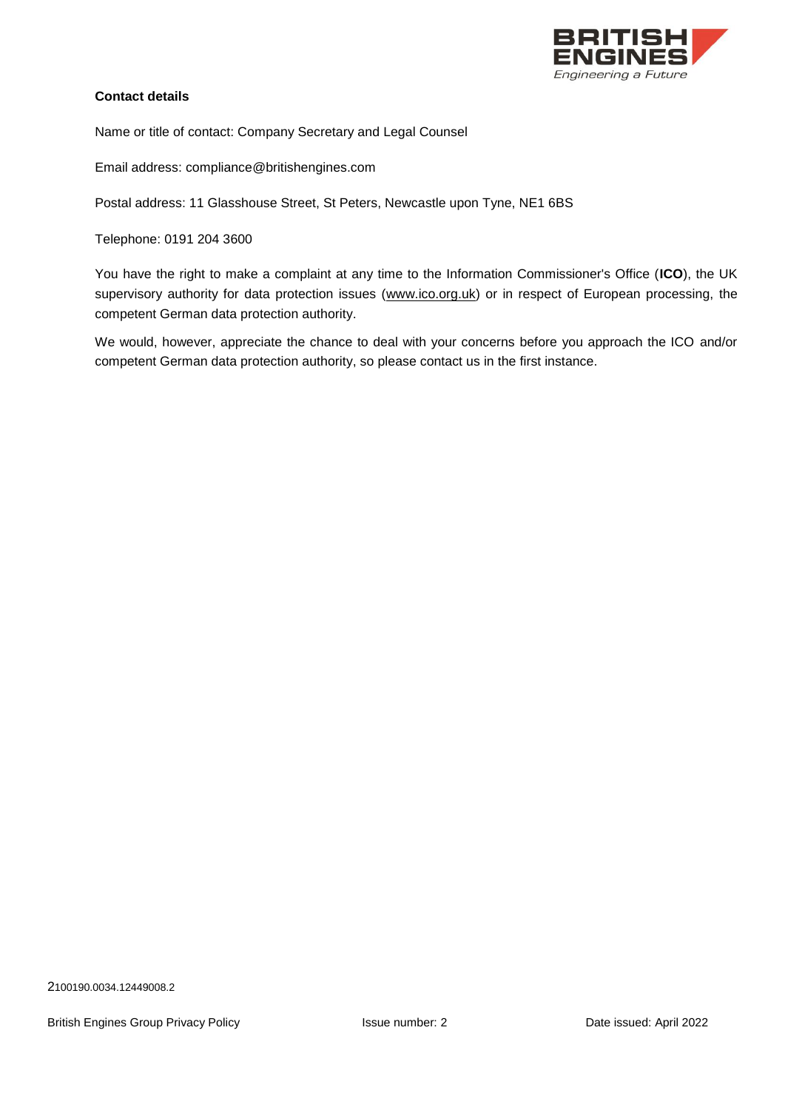

# **Contact details**

Name or title of contact: Company Secretary and Legal Counsel

Email address: compliance@britishengines.com

Postal address: 11 Glasshouse Street, St Peters, Newcastle upon Tyne, NE1 6BS

Telephone: 0191 204 3600

You have the right to make a complaint at any time to the Information Commissioner's Office (**ICO**), the UK supervisory authority for data protection issues [\(www.ico.org.uk\)](http://www.ico.org.uk/) or in respect of European processing, the competent German data protection authority.

We would, however, appreciate the chance to deal with your concerns before you approach the ICO and/or competent German data protection authority, so please contact us in the first instance.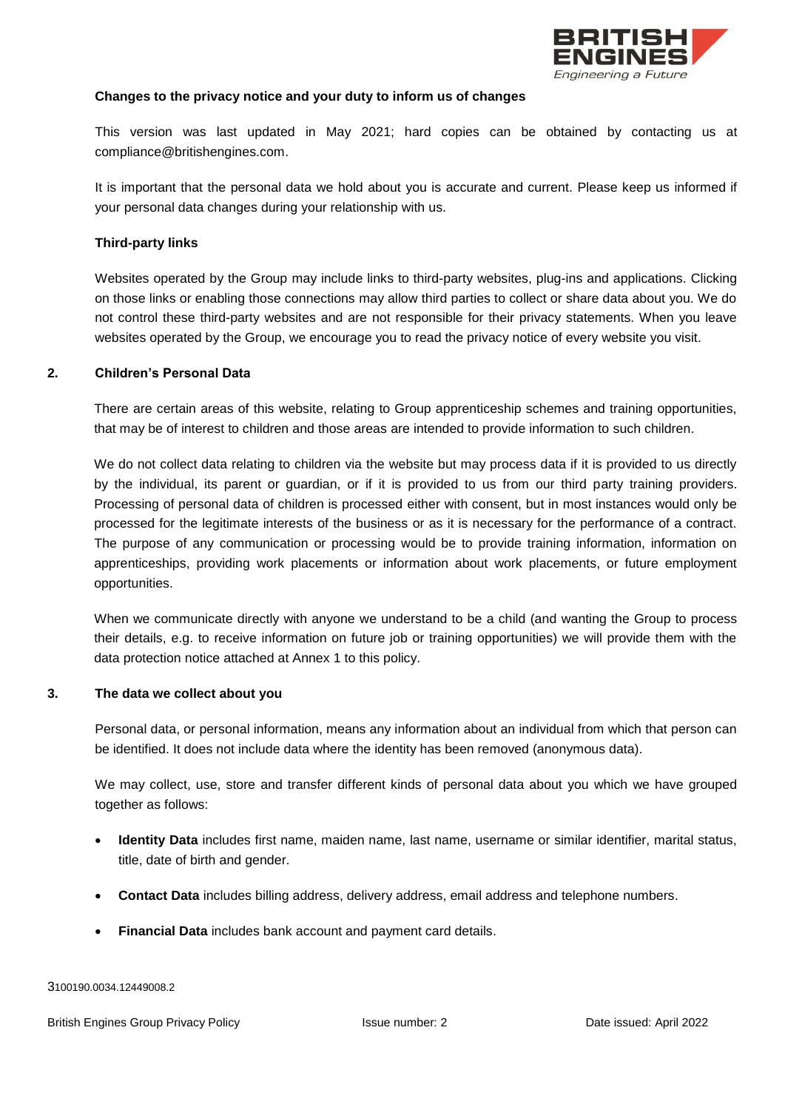

## **Changes to the privacy notice and your duty to inform us of changes**

This version was last updated in May 2021; hard copies can be obtained by contacting us at compliance@britishengines.com.

It is important that the personal data we hold about you is accurate and current. Please keep us informed if your personal data changes during your relationship with us.

## **Third-party links**

Websites operated by the Group may include links to third-party websites, plug-ins and applications. Clicking on those links or enabling those connections may allow third parties to collect or share data about you. We do not control these third-party websites and are not responsible for their privacy statements. When you leave websites operated by the Group, we encourage you to read the privacy notice of every website you visit.

#### <span id="page-3-0"></span>**2. Children's Personal Data**

There are certain areas of this website, relating to Group apprenticeship schemes and training opportunities, that may be of interest to children and those areas are intended to provide information to such children.

We do not collect data relating to children via the website but may process data if it is provided to us directly by the individual, its parent or guardian, or if it is provided to us from our third party training providers. Processing of personal data of children is processed either with consent, but in most instances would only be processed for the legitimate interests of the business or as it is necessary for the performance of a contract. The purpose of any communication or processing would be to provide training information, information on apprenticeships, providing work placements or information about work placements, or future employment opportunities.

When we communicate directly with anyone we understand to be a child (and wanting the Group to process their details, e.g. to receive information on future job or training opportunities) we will provide them with the data protection notice attached at Annex 1 to this policy.

#### <span id="page-3-1"></span>**3. The data we collect about you**

Personal data, or personal information, means any information about an individual from which that person can be identified. It does not include data where the identity has been removed (anonymous data).

We may collect, use, store and transfer different kinds of personal data about you which we have grouped together as follows:

- **Identity Data** includes first name, maiden name, last name, username or similar identifier, marital status, title, date of birth and gender.
- **Contact Data** includes billing address, delivery address, email address and telephone numbers.
- **Financial Data** includes bank account and payment card details.

3100190.0034.12449008.2

British Engines Group Privacy Policy **Issue 19th** Issue number: 2 Date issued: April 2022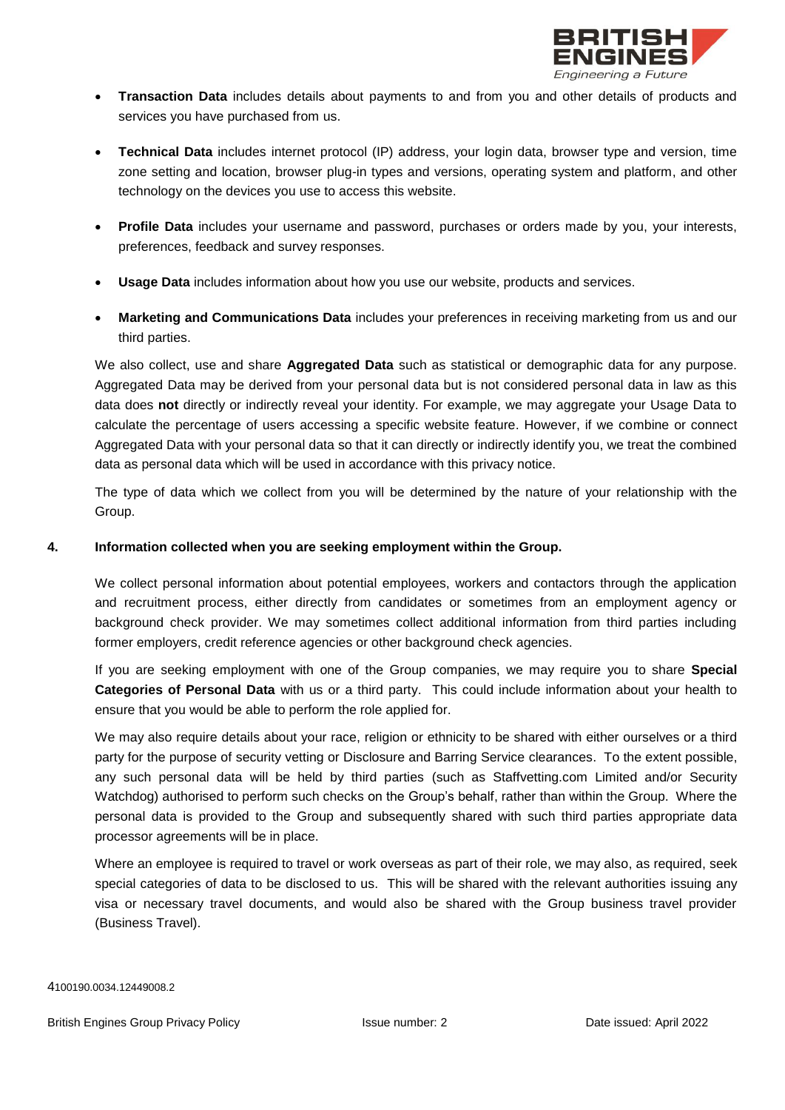

- **Transaction Data** includes details about payments to and from you and other details of products and services you have purchased from us.
- **Technical Data** includes internet protocol (IP) address, your login data, browser type and version, time zone setting and location, browser plug-in types and versions, operating system and platform, and other technology on the devices you use to access this website.
- **Profile Data** includes your username and password, purchases or orders made by you, your interests, preferences, feedback and survey responses.
- **Usage Data** includes information about how you use our website, products and services.
- **Marketing and Communications Data** includes your preferences in receiving marketing from us and our third parties.

We also collect, use and share **Aggregated Data** such as statistical or demographic data for any purpose. Aggregated Data may be derived from your personal data but is not considered personal data in law as this data does **not** directly or indirectly reveal your identity. For example, we may aggregate your Usage Data to calculate the percentage of users accessing a specific website feature. However, if we combine or connect Aggregated Data with your personal data so that it can directly or indirectly identify you, we treat the combined data as personal data which will be used in accordance with this privacy notice.

The type of data which we collect from you will be determined by the nature of your relationship with the Group.

## <span id="page-4-0"></span>**4. Information collected when you are seeking employment within the Group.**

We collect personal information about potential employees, workers and contactors through the application and recruitment process, either directly from candidates or sometimes from an employment agency or background check provider. We may sometimes collect additional information from third parties including former employers, credit reference agencies or other background check agencies.

If you are seeking employment with one of the Group companies, we may require you to share **Special Categories of Personal Data** with us or a third party. This could include information about your health to ensure that you would be able to perform the role applied for.

We may also require details about your race, religion or ethnicity to be shared with either ourselves or a third party for the purpose of security vetting or Disclosure and Barring Service clearances. To the extent possible, any such personal data will be held by third parties (such as Staffvetting.com Limited and/or Security Watchdog) authorised to perform such checks on the Group's behalf, rather than within the Group. Where the personal data is provided to the Group and subsequently shared with such third parties appropriate data processor agreements will be in place.

Where an employee is required to travel or work overseas as part of their role, we may also, as required, seek special categories of data to be disclosed to us. This will be shared with the relevant authorities issuing any visa or necessary travel documents, and would also be shared with the Group business travel provider (Business Travel).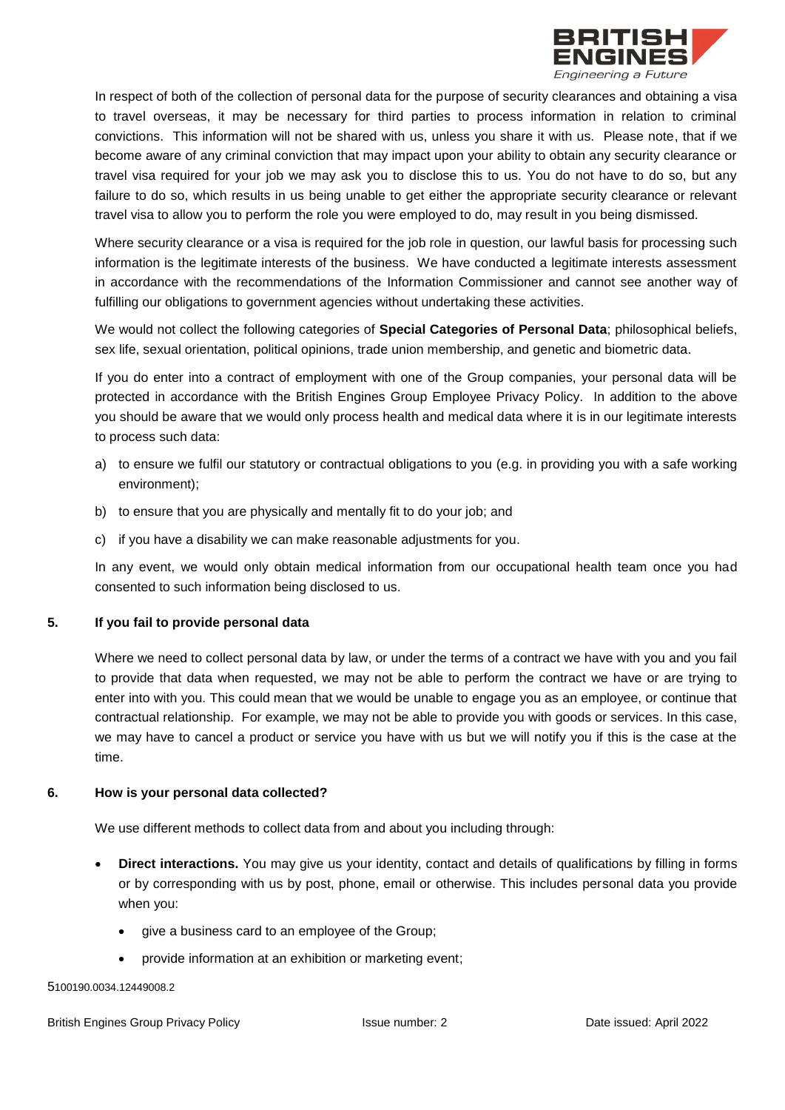

In respect of both of the collection of personal data for the purpose of security clearances and obtaining a visa to travel overseas, it may be necessary for third parties to process information in relation to criminal convictions. This information will not be shared with us, unless you share it with us. Please note, that if we become aware of any criminal conviction that may impact upon your ability to obtain any security clearance or travel visa required for your job we may ask you to disclose this to us. You do not have to do so, but any failure to do so, which results in us being unable to get either the appropriate security clearance or relevant travel visa to allow you to perform the role you were employed to do, may result in you being dismissed.

Where security clearance or a visa is required for the job role in question, our lawful basis for processing such information is the legitimate interests of the business. We have conducted a legitimate interests assessment in accordance with the recommendations of the Information Commissioner and cannot see another way of fulfilling our obligations to government agencies without undertaking these activities.

We would not collect the following categories of **Special Categories of Personal Data**; philosophical beliefs, sex life, sexual orientation, political opinions, trade union membership, and genetic and biometric data.

If you do enter into a contract of employment with one of the Group companies, your personal data will be protected in accordance with the British Engines Group Employee Privacy Policy. In addition to the above you should be aware that we would only process health and medical data where it is in our legitimate interests to process such data:

- a) to ensure we fulfil our statutory or contractual obligations to you (e.g. in providing you with a safe working environment);
- b) to ensure that you are physically and mentally fit to do your job; and
- c) if you have a disability we can make reasonable adjustments for you.

In any event, we would only obtain medical information from our occupational health team once you had consented to such information being disclosed to us.

# <span id="page-5-0"></span>**5. If you fail to provide personal data**

Where we need to collect personal data by law, or under the terms of a contract we have with you and you fail to provide that data when requested, we may not be able to perform the contract we have or are trying to enter into with you. This could mean that we would be unable to engage you as an employee, or continue that contractual relationship. For example, we may not be able to provide you with goods or services. In this case, we may have to cancel a product or service you have with us but we will notify you if this is the case at the time.

# <span id="page-5-1"></span>**6. How is your personal data collected?**

We use different methods to collect data from and about you including through:

- **Direct interactions.** You may give us your identity, contact and details of qualifications by filling in forms or by corresponding with us by post, phone, email or otherwise. This includes personal data you provide when you:
	- give a business card to an employee of the Group;
	- provide information at an exhibition or marketing event;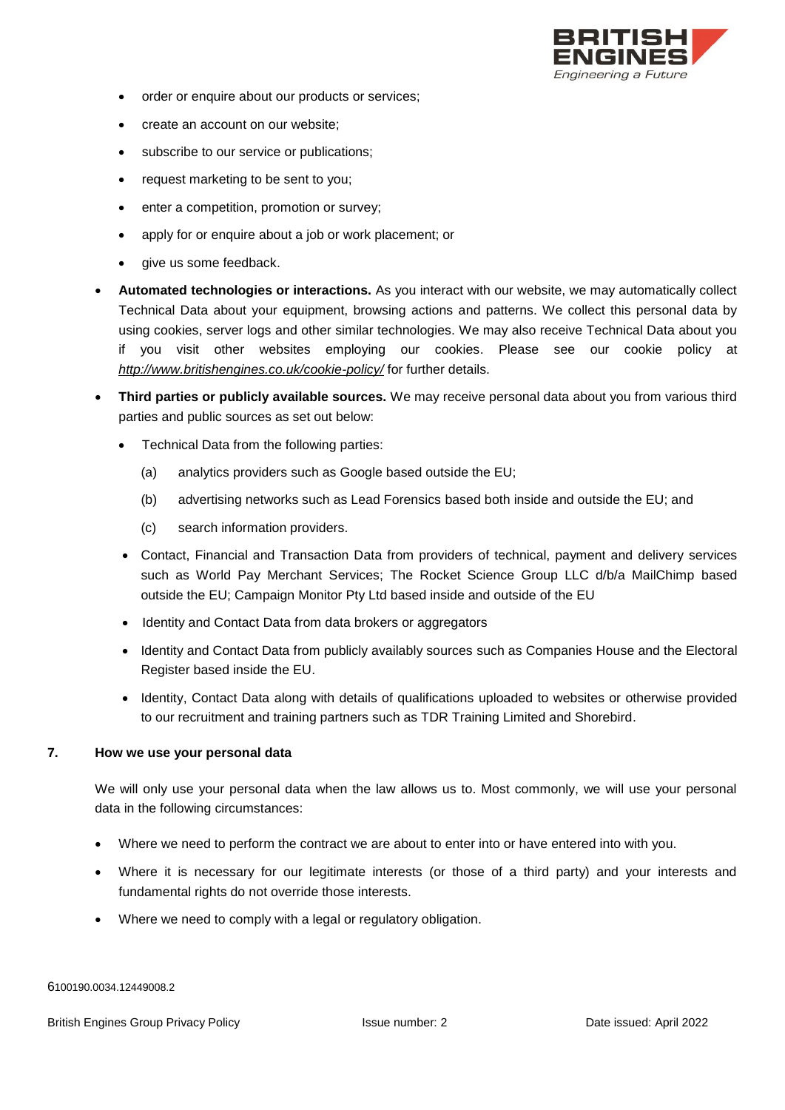

- order or enquire about our products or services:
- create an account on our website;
- subscribe to our service or publications;
- request marketing to be sent to you;
- enter a competition, promotion or survey;
- apply for or enquire about a job or work placement; or
- give us some feedback.
- **Automated technologies or interactions.** As you interact with our website, we may automatically collect Technical Data about your equipment, browsing actions and patterns. We collect this personal data by using cookies, server logs and other similar technologies. We may also receive Technical Data about you if you visit other websites employing our cookies. Please see our cookie policy at *<http://www.britishengines.co.uk/cookie-policy/>* for further details.
- **Third parties or publicly available sources.** We may receive personal data about you from various third parties and public sources as set out below:
	- Technical Data from the following parties:
		- (a) analytics providers such as Google based outside the EU;
		- (b) advertising networks such as Lead Forensics based both inside and outside the EU; and
		- (c) search information providers.
	- Contact, Financial and Transaction Data from providers of technical, payment and delivery services such as World Pay Merchant Services; The Rocket Science Group LLC d/b/a MailChimp based outside the EU; Campaign Monitor Pty Ltd based inside and outside of the EU
	- Identity and Contact Data from data brokers or aggregators
	- Identity and Contact Data from publicly availably sources such as Companies House and the Electoral Register based inside the EU.
	- Identity, Contact Data along with details of qualifications uploaded to websites or otherwise provided to our recruitment and training partners such as TDR Training Limited and Shorebird.

#### <span id="page-6-0"></span>**7. How we use your personal data**

We will only use your personal data when the law allows us to. Most commonly, we will use your personal data in the following circumstances:

- Where we need to perform the contract we are about to enter into or have entered into with you.
- Where it is necessary for our legitimate interests (or those of a third party) and your interests and fundamental rights do not override those interests.
- Where we need to comply with a legal or regulatory obligation.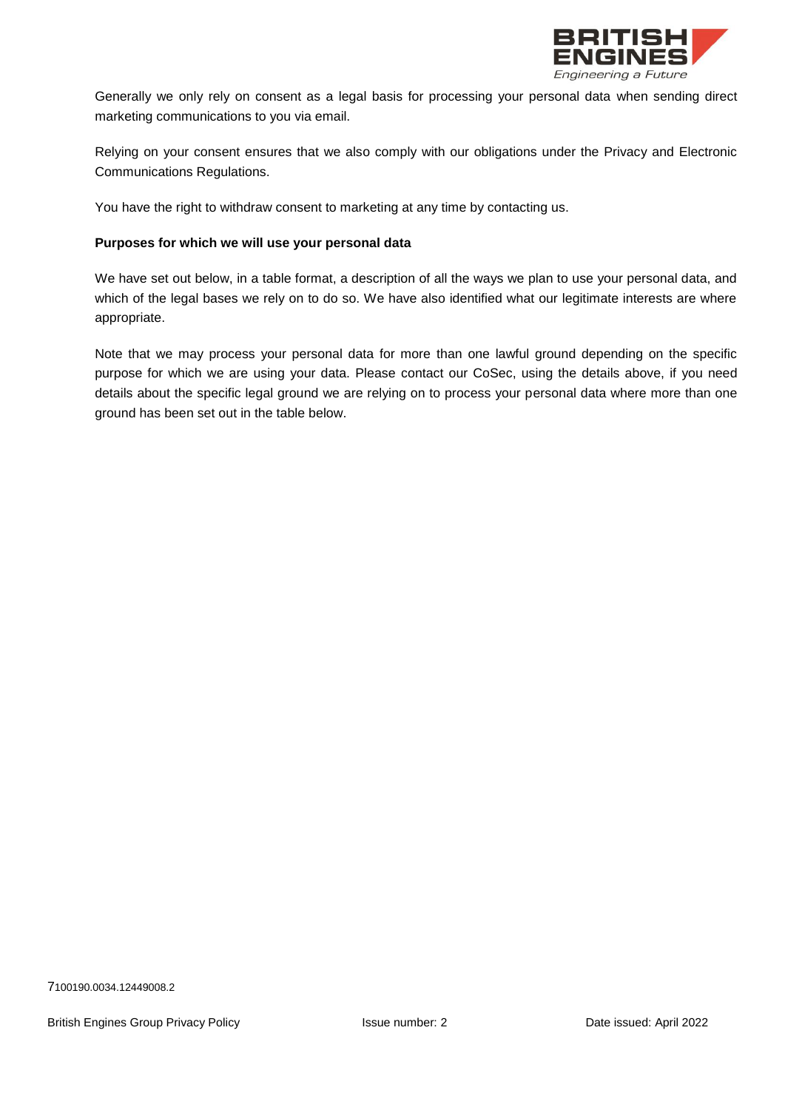

Generally we only rely on consent as a legal basis for processing your personal data when sending direct marketing communications to you via email.

Relying on your consent ensures that we also comply with our obligations under the Privacy and Electronic Communications Regulations.

You have the right to withdraw consent to marketing at any time by contacting us.

## **Purposes for which we will use your personal data**

We have set out below, in a table format, a description of all the ways we plan to use your personal data, and which of the legal bases we rely on to do so. We have also identified what our legitimate interests are where appropriate.

Note that we may process your personal data for more than one lawful ground depending on the specific purpose for which we are using your data. Please [contact our CoSec, usi](#page-1-1)ng the details above, if you need details about the specific legal ground we are relying on to process your personal data where more than one ground has been set out in the table below.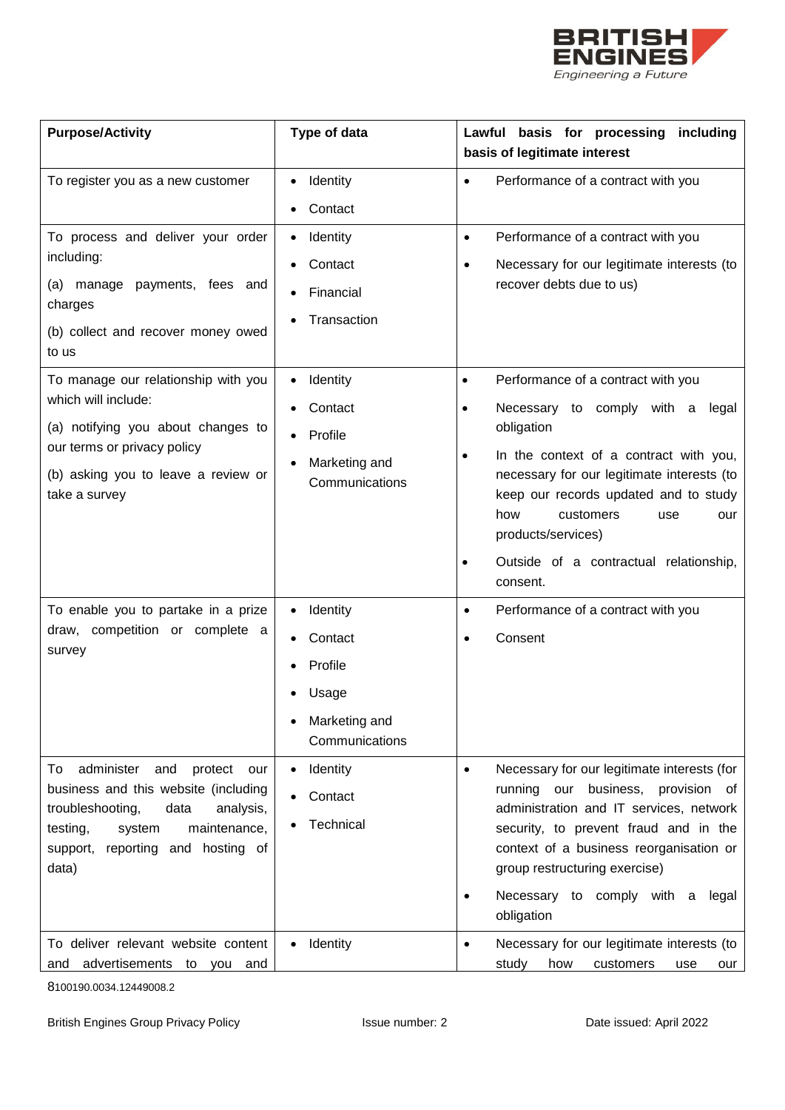

| <b>Purpose/Activity</b>                                                                                                                                                                                        | Type of data                                                                                                   | Lawful basis for processing<br>including<br>basis of legitimate interest                                                                                                                                                                                                                                                                                                      |
|----------------------------------------------------------------------------------------------------------------------------------------------------------------------------------------------------------------|----------------------------------------------------------------------------------------------------------------|-------------------------------------------------------------------------------------------------------------------------------------------------------------------------------------------------------------------------------------------------------------------------------------------------------------------------------------------------------------------------------|
| To register you as a new customer                                                                                                                                                                              | Identity<br>Contact                                                                                            | Performance of a contract with you<br>$\bullet$                                                                                                                                                                                                                                                                                                                               |
| To process and deliver your order<br>including:<br>manage<br>payments, fees and<br>(a)<br>charges<br>(b) collect and recover money owed<br>to us                                                               | Identity<br>$\bullet$<br>Contact<br>Financial<br>Transaction                                                   | Performance of a contract with you<br>$\bullet$<br>Necessary for our legitimate interests (to<br>$\bullet$<br>recover debts due to us)                                                                                                                                                                                                                                        |
| To manage our relationship with you<br>which will include:<br>(a) notifying you about changes to<br>our terms or privacy policy<br>(b) asking you to leave a review or<br>take a survey                        | Identity<br>Contact<br>Profile<br>Marketing and<br>Communications                                              | Performance of a contract with you<br>$\bullet$<br>Necessary to comply with a<br>legal<br>$\bullet$<br>obligation<br>In the context of a contract with you,<br>$\bullet$<br>necessary for our legitimate interests (to<br>keep our records updated and to study<br>how<br>customers<br>use<br>our<br>products/services)<br>Outside of a contractual relationship,<br>consent. |
| To enable you to partake in a prize<br>draw, competition or complete a<br>survey<br>administer<br>and<br>protect<br>То<br>our<br>business and this website (including<br>troubleshooting,<br>data<br>analysis, | Identity<br>Contact<br>Profile<br>Usage<br>Marketing and<br>Communications<br>Identity<br>$\bullet$<br>Contact | Performance of a contract with you<br>٠<br>Consent<br>Necessary for our legitimate interests (for<br>$\bullet$<br>our business, provision of<br>running<br>administration and IT services, network                                                                                                                                                                            |
| testing,<br>maintenance,<br>system<br>reporting<br>and hosting of<br>support,<br>data)<br>To deliver relevant website content<br>advertisements to you and<br>and                                              | Technical<br>Identity<br>$\bullet$                                                                             | security, to prevent fraud and in the<br>context of a business reorganisation or<br>group restructuring exercise)<br>Necessary to comply with<br>a<br>legal<br>obligation<br>Necessary for our legitimate interests (to<br>٠<br>study<br>how<br>customers<br>use<br>our                                                                                                       |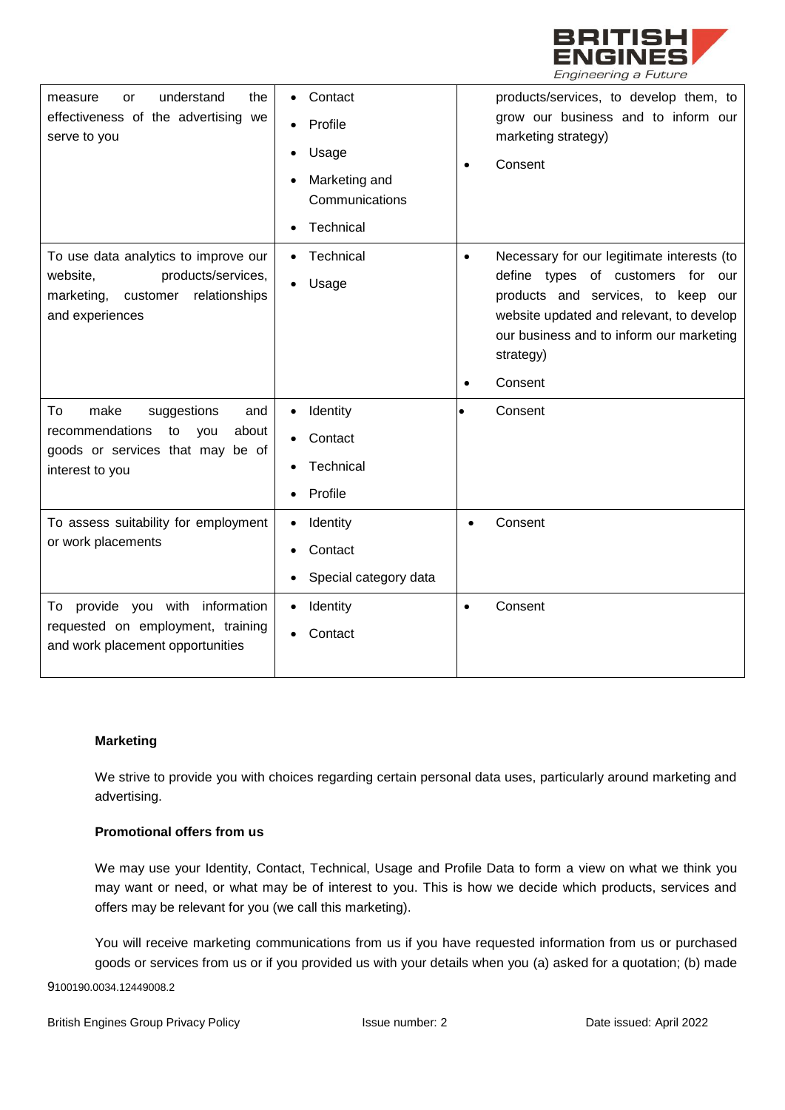

| understand<br>the<br>measure<br>or<br>effectiveness of the advertising we<br>serve to you                                            | Contact<br>Profile<br>Usage<br>Marketing and<br>Communications<br>Technical | products/services, to develop them, to<br>grow our business and to inform our<br>marketing strategy)<br>Consent                                                                                                                                    |
|--------------------------------------------------------------------------------------------------------------------------------------|-----------------------------------------------------------------------------|----------------------------------------------------------------------------------------------------------------------------------------------------------------------------------------------------------------------------------------------------|
| To use data analytics to improve our<br>products/services,<br>website,<br>relationships<br>customer<br>marketing,<br>and experiences | Technical<br>$\bullet$<br>Usage<br>$\bullet$                                | Necessary for our legitimate interests (to<br>$\bullet$<br>define types of customers for our<br>products and services, to keep our<br>website updated and relevant, to develop<br>our business and to inform our marketing<br>strategy)<br>Consent |
| make<br>To<br>suggestions<br>and<br>recommendations<br>to<br>about<br>you<br>goods or services that may be of<br>interest to you     | Identity<br>$\bullet$<br>Contact<br>$\bullet$<br>Technical<br>Profile       | Consent                                                                                                                                                                                                                                            |
| To assess suitability for employment<br>or work placements                                                                           | Identity<br>Contact<br>Special category data                                | Consent                                                                                                                                                                                                                                            |
| To provide you with information<br>requested on employment, training<br>and work placement opportunities                             | Identity<br>$\bullet$<br>Contact                                            | Consent<br>$\bullet$                                                                                                                                                                                                                               |

#### **Marketing**

We strive to provide you with choices regarding certain personal data uses, particularly around marketing and advertising.

## **Promotional offers from us**

We may use your Identity, Contact, Technical, Usage and Profile Data to form a view on what we think you may want or need, or what may be of interest to you. This is how we decide which products, services and offers may be relevant for you (we call this marketing).

You will receive marketing communications from us if you have requested information from us or purchased goods or services from us or if you provided us with your details when you (a) asked for a quotation; (b) made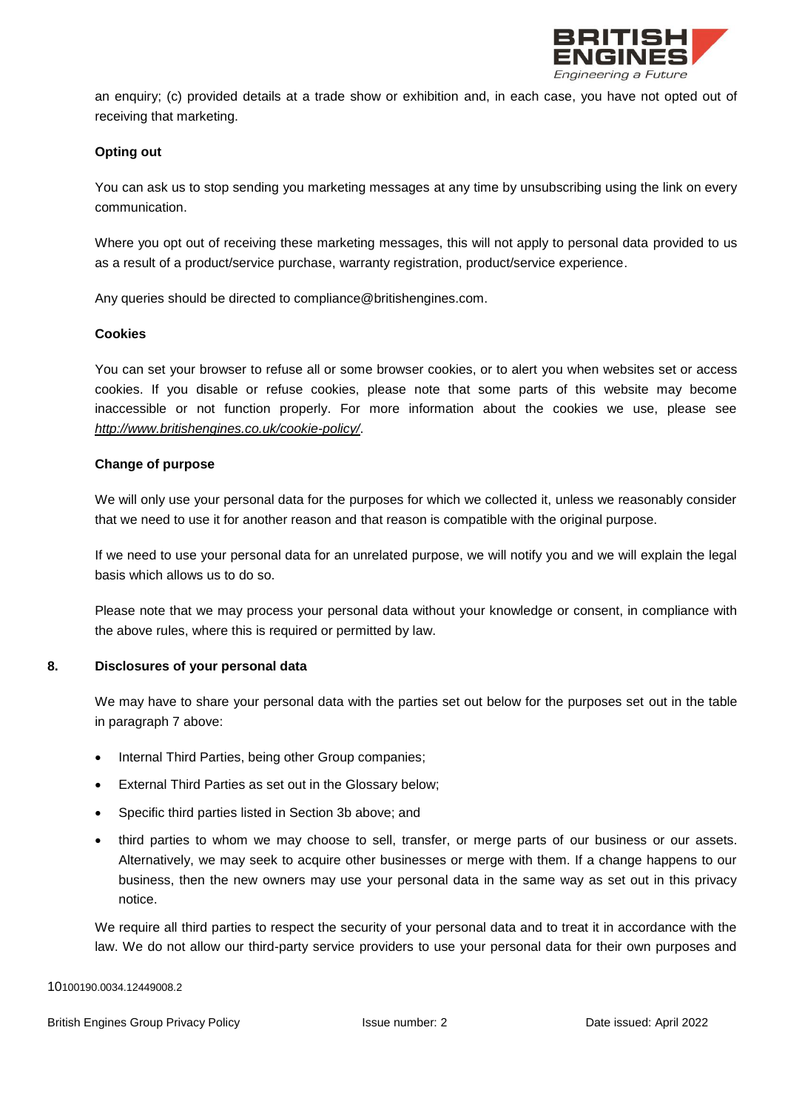

an enquiry; (c) provided details at a trade show or exhibition and, in each case, you have not opted out of receiving that marketing.

# **Opting out**

You can ask us to stop sending you marketing messages at any time by unsubscribing using the link on every communication.

Where you opt out of receiving these marketing messages, this will not apply to personal data provided to us as a result of a product/service purchase, warranty registration, product/service experience.

Any queries should be directed to compliance@britishengines.com.

## **Cookies**

You can set your browser to refuse all or some browser cookies, or to alert you when websites set or access cookies. If you disable or refuse cookies, please note that some parts of this website may become inaccessible or not function properly. For more information about the cookies we use, please see *<http://www.britishengines.co.uk/cookie-policy/>*.

## **Change of purpose**

We will only use your personal data for the purposes for which we collected it, unless we reasonably consider that we need to use it for another reason and that reason is compatible with the original purpose.

If we need to use your personal data for an unrelated purpose, we will notify you and we will explain the legal basis which allows us to do so.

Please note that we may process your personal data without your knowledge or consent, in compliance with the above rules, where this is required or permitted by law.

# <span id="page-10-0"></span>**8. Disclosures of your personal data**

We may have to share your personal data with the parties set out below for the purposes set out in the table in paragraph 7 above:

- Internal Third Parties, being other Group companies;
- External Third Parties as set out in the Glossary below;
- Specific third parties listed in Section 3b above; and
- third parties to whom we may choose to sell, transfer, or merge parts of our business or our assets. Alternatively, we may seek to acquire other businesses or merge with them. If a change happens to our business, then the new owners may use your personal data in the same way as set out in this privacy notice.

We require all third parties to respect the security of your personal data and to treat it in accordance with the law. We do not allow our third-party service providers to use your personal data for their own purposes and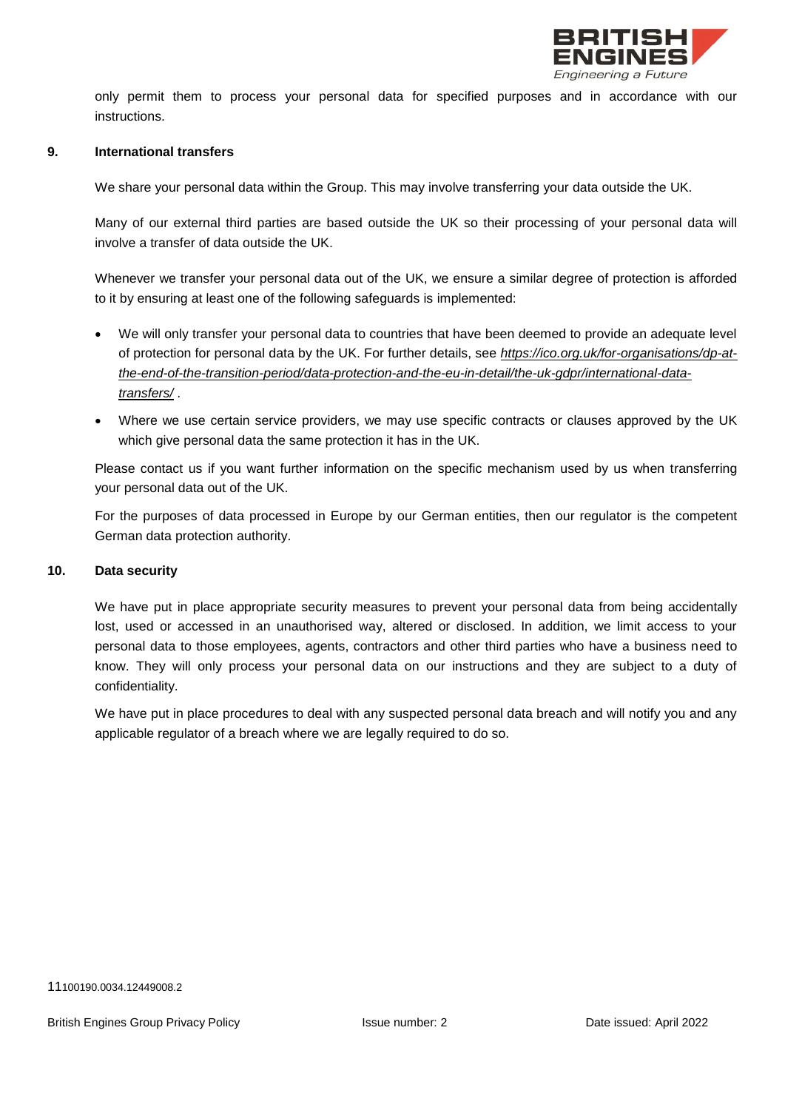

only permit them to process your personal data for specified purposes and in accordance with our instructions.

## <span id="page-11-0"></span>**9. International transfers**

We share your personal data within the Group. This may involve transferring your data outside the UK.

Many of our external third parties are based outside the UK so their processing of your personal data will involve a transfer of data outside the UK.

Whenever we transfer your personal data out of the UK, we ensure a similar degree of protection is afforded to it by ensuring at least one of the following safeguards is implemented:

- We will only transfer your personal data to countries that have been deemed to provide an adequate level of protection for personal data by the UK. For further details, see *[https://ico.org.uk/for-organisations/dp-at](https://ico.org.uk/for-organisations/dp-at-the-end-of-the-transition-period/data-protection-and-the-eu-in-detail/the-uk-gdpr/international-data-transfers/)[the-end-of-the-transition-period/data-protection-and-the-eu-in-detail/the-uk-gdpr/international-data](https://ico.org.uk/for-organisations/dp-at-the-end-of-the-transition-period/data-protection-and-the-eu-in-detail/the-uk-gdpr/international-data-transfers/)[transfers/](https://ico.org.uk/for-organisations/dp-at-the-end-of-the-transition-period/data-protection-and-the-eu-in-detail/the-uk-gdpr/international-data-transfers/)* .
- Where we use certain service providers, we may use specific contracts or clauses approved by the UK which give personal data the same protection it has in the UK.

Please contact us if you want further information on the specific mechanism used by us when transferring your personal data out of the UK.

For the purposes of data processed in Europe by our German entities, then our regulator is the competent German data protection authority.

## <span id="page-11-1"></span>**10. Data security**

We have put in place appropriate security measures to prevent your personal data from being accidentally lost, used or accessed in an unauthorised way, altered or disclosed. In addition, we limit access to your personal data to those employees, agents, contractors and other third parties who have a business need to know. They will only process your personal data on our instructions and they are subject to a duty of confidentiality.

We have put in place procedures to deal with any suspected personal data breach and will notify you and any applicable regulator of a breach where we are legally required to do so.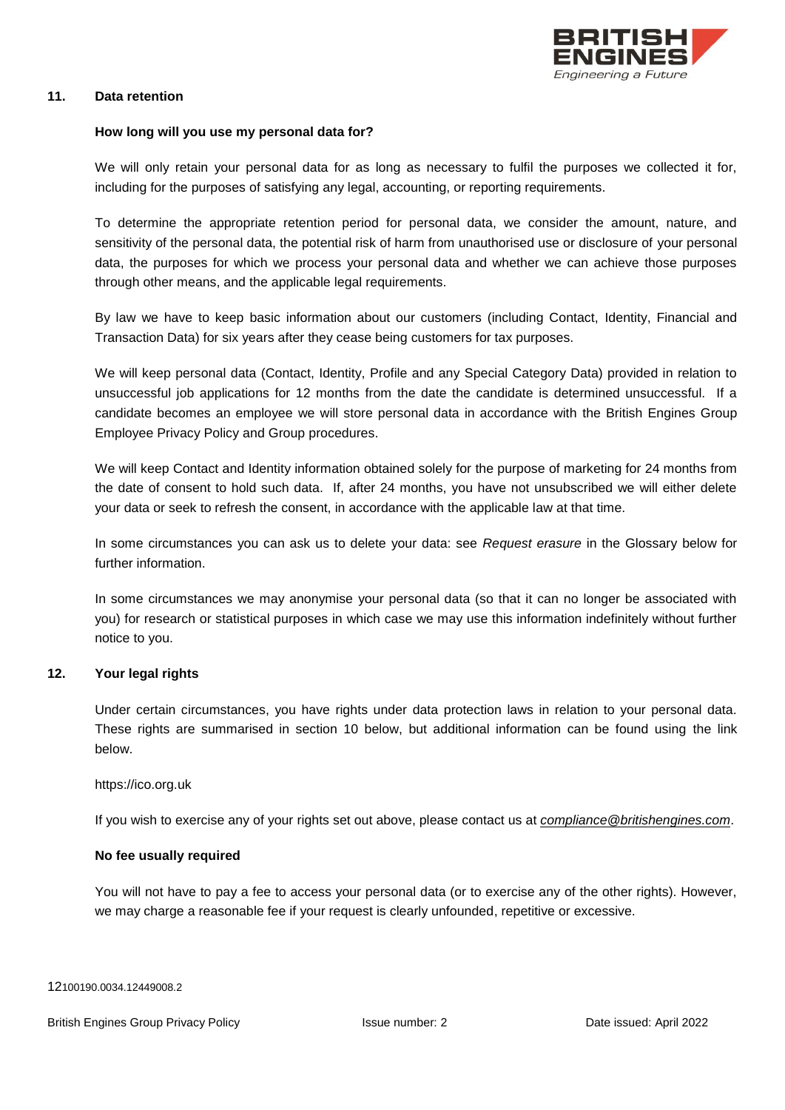

## <span id="page-12-0"></span>**11. Data retention**

## **How long will you use my personal data for?**

We will only retain your personal data for as long as necessary to fulfil the purposes we collected it for, including for the purposes of satisfying any legal, accounting, or reporting requirements.

To determine the appropriate retention period for personal data, we consider the amount, nature, and sensitivity of the personal data, the potential risk of harm from unauthorised use or disclosure of your personal data, the purposes for which we process your personal data and whether we can achieve those purposes through other means, and the applicable legal requirements.

By law we have to keep basic information about our customers (including Contact, Identity, Financial and Transaction Data) for six years after they cease being customers for tax purposes.

We will keep personal data (Contact, Identity, Profile and any Special Category Data) provided in relation to unsuccessful job applications for 12 months from the date the candidate is determined unsuccessful. If a candidate becomes an employee we will store personal data in accordance with the British Engines Group Employee Privacy Policy and Group procedures.

We will keep Contact and Identity information obtained solely for the purpose of marketing for 24 months from the date of consent to hold such data. If, after 24 months, you have not unsubscribed we will either delete your data or seek to refresh the consent, in accordance with the applicable law at that time.

In some circumstances you can ask us to delete your data: see *Request erasure* in the Glossary below for further information.

In some circumstances we may anonymise your personal data (so that it can no longer be associated with you) for research or statistical purposes in which case we may use this information indefinitely without further notice to you.

#### <span id="page-12-1"></span>**12. Your legal rights**

Under certain circumstances, you have rights under data protection laws in relation to your personal data. These rights are summarised in section 10 below, but additional information can be found using the link below.

#### https://ico.org.uk

If you wish to exercise any of your rights set out above, please [contact us](#page-1-1) at *[compliance@britishengines.com](mailto:compliance@britishengines.com)*.

#### **No fee usually required**

You will not have to pay a fee to access your personal data (or to exercise any of the other rights). However, we may charge a reasonable fee if your request is clearly unfounded, repetitive or excessive.

12100190.0034.12449008.2

British Engines Group Privacy Policy **Issue number: 2** Date issued: April 2022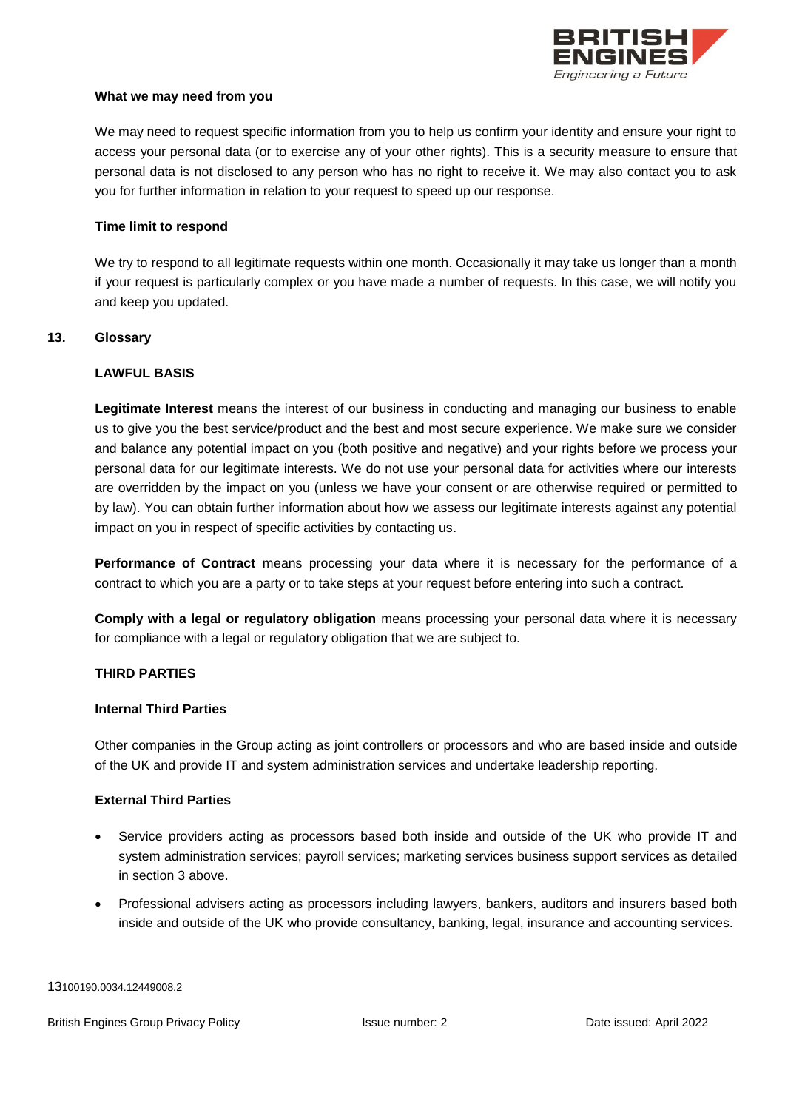

#### **What we may need from you**

We may need to request specific information from you to help us confirm your identity and ensure your right to access your personal data (or to exercise any of your other rights). This is a security measure to ensure that personal data is not disclosed to any person who has no right to receive it. We may also contact you to ask you for further information in relation to your request to speed up our response.

## **Time limit to respond**

We try to respond to all legitimate requests within one month. Occasionally it may take us longer than a month if your request is particularly complex or you have made a number of requests. In this case, we will notify you and keep you updated.

## <span id="page-13-0"></span>**13. Glossary**

# **LAWFUL BASIS**

**Legitimate Interest** means the interest of our business in conducting and managing our business to enable us to give you the best service/product and the best and most secure experience. We make sure we consider and balance any potential impact on you (both positive and negative) and your rights before we process your personal data for our legitimate interests. We do not use your personal data for activities where our interests are overridden by the impact on you (unless we have your consent or are otherwise required or permitted to by law). You can obtain further information about how we assess our legitimate interests against any potential impact on you in respect of specific activities by contacting us.

**Performance of Contract** means processing your data where it is necessary for the performance of a contract to which you are a party or to take steps at your request before entering into such a contract.

**Comply with a legal or regulatory obligation** means processing your personal data where it is necessary for compliance with a legal or regulatory obligation that we are subject to.

# **THIRD PARTIES**

#### **Internal Third Parties**

Other companies in the Group acting as joint controllers or processors and who are based inside and outside of the UK and provide IT and system administration services and undertake leadership reporting.

## **External Third Parties**

- Service providers acting as processors based both inside and outside of the UK who provide IT and system administration services; payroll services; marketing services business support services as detailed in section 3 above.
- Professional advisers acting as processors including lawyers, bankers, auditors and insurers based both inside and outside of the UK who provide consultancy, banking, legal, insurance and accounting services.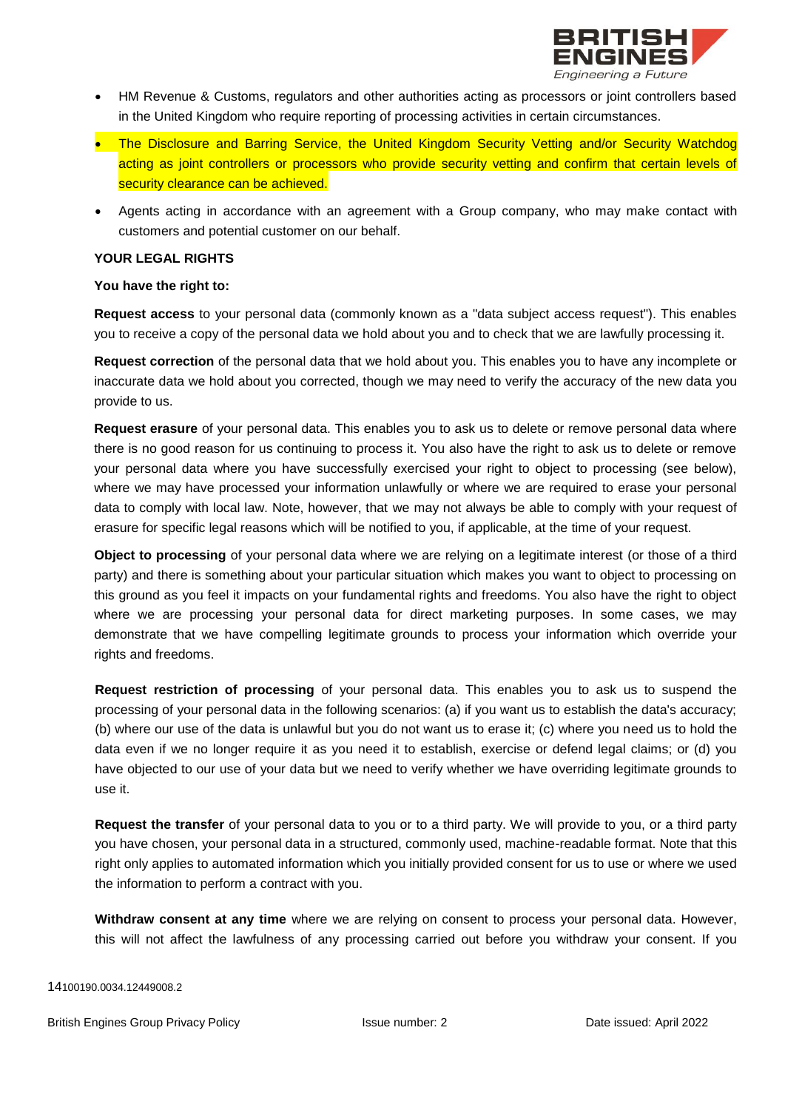

- HM Revenue & Customs, regulators and other authorities acting as processors or joint controllers based in the United Kingdom who require reporting of processing activities in certain circumstances.
- The Disclosure and Barring Service, the United Kingdom Security Vetting and/or Security Watchdog acting as joint controllers or processors who provide security vetting and confirm that certain levels of security clearance can be achieved.
- Agents acting in accordance with an agreement with a Group company, who may make contact with customers and potential customer on our behalf.

# **YOUR LEGAL RIGHTS**

# **You have the right to:**

**Request access** to your personal data (commonly known as a "data subject access request"). This enables you to receive a copy of the personal data we hold about you and to check that we are lawfully processing it.

**Request correction** of the personal data that we hold about you. This enables you to have any incomplete or inaccurate data we hold about you corrected, though we may need to verify the accuracy of the new data you provide to us.

**Request erasure** of your personal data. This enables you to ask us to delete or remove personal data where there is no good reason for us continuing to process it. You also have the right to ask us to delete or remove your personal data where you have successfully exercised your right to object to processing (see below), where we may have processed your information unlawfully or where we are required to erase your personal data to comply with local law. Note, however, that we may not always be able to comply with your request of erasure for specific legal reasons which will be notified to you, if applicable, at the time of your request.

**Object to processing** of your personal data where we are relying on a legitimate interest (or those of a third party) and there is something about your particular situation which makes you want to object to processing on this ground as you feel it impacts on your fundamental rights and freedoms. You also have the right to object where we are processing your personal data for direct marketing purposes. In some cases, we may demonstrate that we have compelling legitimate grounds to process your information which override your rights and freedoms.

**Request restriction of processing** of your personal data. This enables you to ask us to suspend the processing of your personal data in the following scenarios: (a) if you want us to establish the data's accuracy; (b) where our use of the data is unlawful but you do not want us to erase it; (c) where you need us to hold the data even if we no longer require it as you need it to establish, exercise or defend legal claims; or (d) you have objected to our use of your data but we need to verify whether we have overriding legitimate grounds to use it.

**Request the transfer** of your personal data to you or to a third party. We will provide to you, or a third party you have chosen, your personal data in a structured, commonly used, machine-readable format. Note that this right only applies to automated information which you initially provided consent for us to use or where we used the information to perform a contract with you.

**Withdraw consent at any time** where we are relying on consent to process your personal data. However, this will not affect the lawfulness of any processing carried out before you withdraw your consent. If you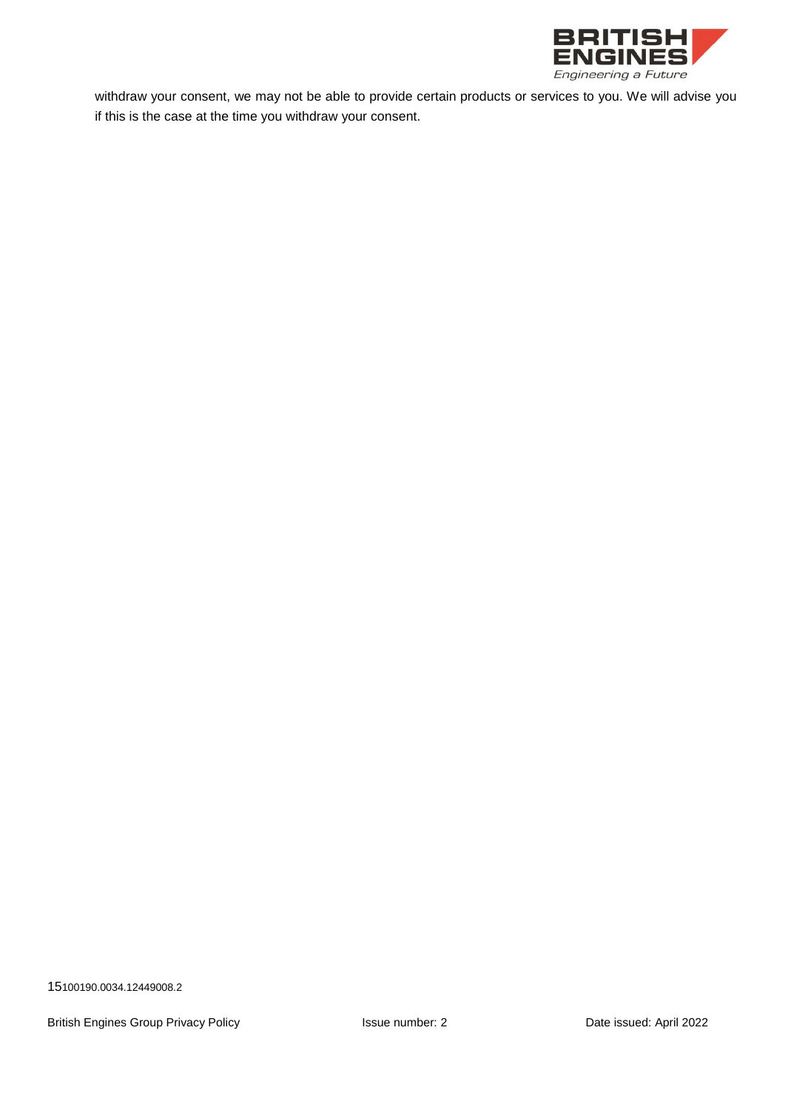

withdraw your consent, we may not be able to provide certain products or services to you. We will advise you if this is the case at the time you withdraw your consent.

15100190.0034.12449008.2

British Engines Group Privacy Policy **Issue number: 2** Date issued: April 2022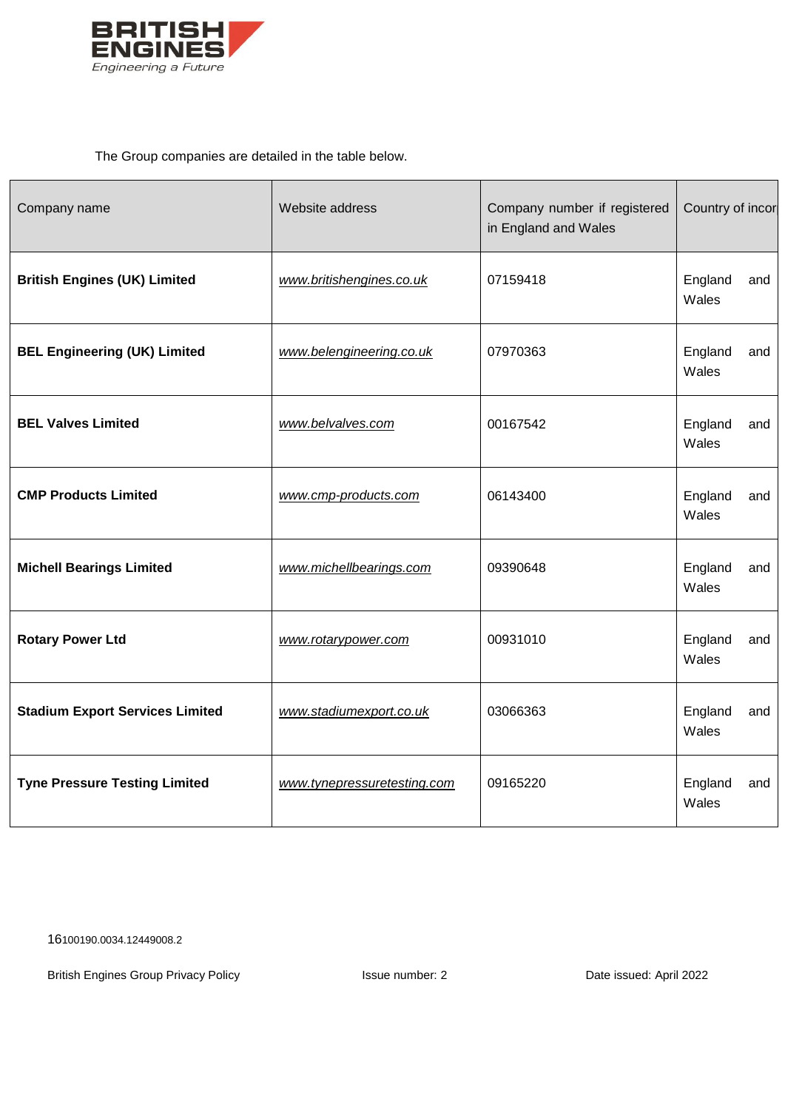

The Group companies are detailed in the table below.

| Company name                           | Website address             | Company number if registered<br>in England and Wales | Country of incor        |
|----------------------------------------|-----------------------------|------------------------------------------------------|-------------------------|
| <b>British Engines (UK) Limited</b>    | www.britishengines.co.uk    | 07159418                                             | England<br>and<br>Wales |
| <b>BEL Engineering (UK) Limited</b>    | www.belengineering.co.uk    | 07970363                                             | England<br>and<br>Wales |
| <b>BEL Valves Limited</b>              | www.belvalves.com           | 00167542                                             | England<br>and<br>Wales |
| <b>CMP Products Limited</b>            | www.cmp-products.com        | 06143400                                             | England<br>and<br>Wales |
| <b>Michell Bearings Limited</b>        | www.michellbearings.com     | 09390648                                             | England<br>and<br>Wales |
| <b>Rotary Power Ltd</b>                | www.rotarypower.com         | 00931010                                             | England<br>and<br>Wales |
| <b>Stadium Export Services Limited</b> | www.stadiumexport.co.uk     | 03066363                                             | England<br>and<br>Wales |
| <b>Tyne Pressure Testing Limited</b>   | www.tynepressuretesting.com | 09165220                                             | England<br>and<br>Wales |

16100190.0034.12449008.2

British Engines Group Privacy Policy **Interpretity Issue number: 2** Date issued: April 2022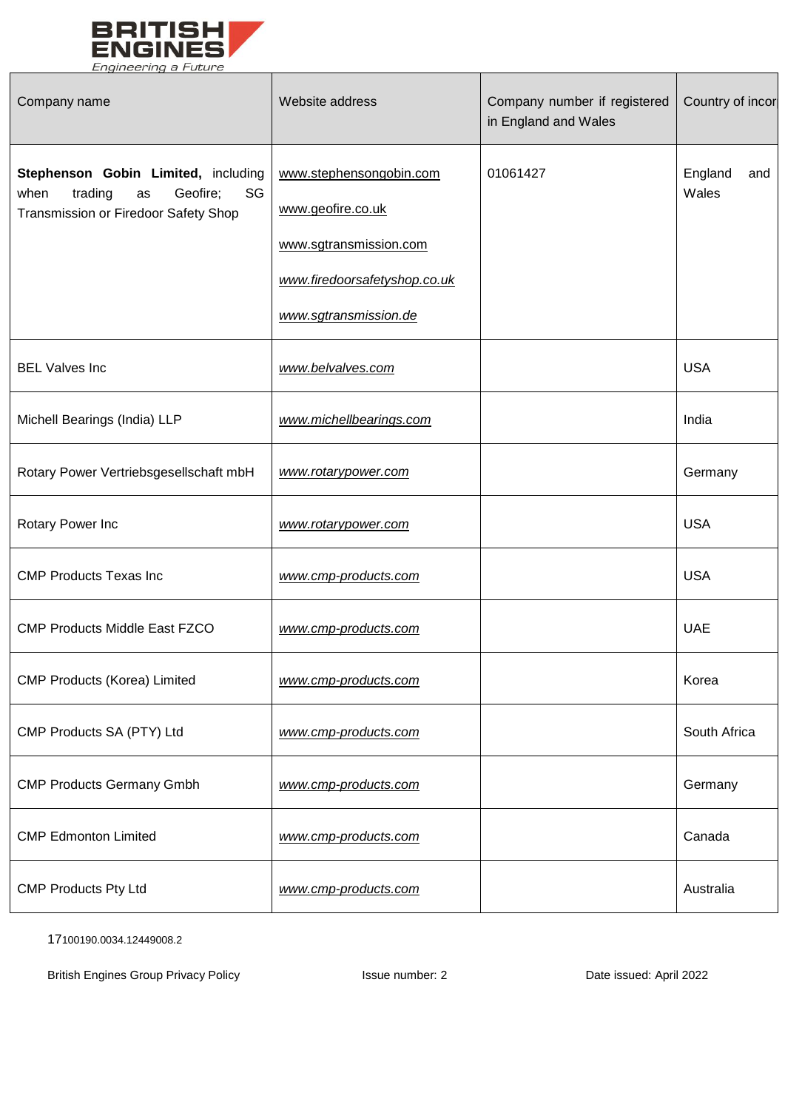

| Company name                                                                                                           | Website address                                                                                                                 | Company number if registered<br>in England and Wales | Country of incor        |
|------------------------------------------------------------------------------------------------------------------------|---------------------------------------------------------------------------------------------------------------------------------|------------------------------------------------------|-------------------------|
| Stephenson Gobin Limited, including<br>trading<br>Geofire;<br>SG<br>when<br>as<br>Transmission or Firedoor Safety Shop | www.stephensongobin.com<br>www.geofire.co.uk<br>www.sgtransmission.com<br>www.firedoorsafetyshop.co.uk<br>www.sgtransmission.de | 01061427                                             | England<br>and<br>Wales |
| <b>BEL Valves Inc</b>                                                                                                  | www.belvalves.com                                                                                                               |                                                      | <b>USA</b>              |
| Michell Bearings (India) LLP                                                                                           | www.michellbearings.com                                                                                                         |                                                      | India                   |
| Rotary Power Vertriebsgesellschaft mbH                                                                                 | www.rotarypower.com                                                                                                             |                                                      | Germany                 |
| Rotary Power Inc                                                                                                       | www.rotarypower.com                                                                                                             |                                                      | <b>USA</b>              |
| <b>CMP Products Texas Inc</b>                                                                                          | www.cmp-products.com                                                                                                            |                                                      | <b>USA</b>              |
| <b>CMP Products Middle East FZCO</b>                                                                                   | www.cmp-products.com                                                                                                            |                                                      | <b>UAE</b>              |
| CMP Products (Korea) Limited                                                                                           | www.cmp-products.com                                                                                                            |                                                      | Korea                   |
| CMP Products SA (PTY) Ltd                                                                                              | www.cmp-products.com                                                                                                            |                                                      | South Africa            |
| <b>CMP Products Germany Gmbh</b>                                                                                       | www.cmp-products.com                                                                                                            |                                                      | Germany                 |
| <b>CMP Edmonton Limited</b>                                                                                            | www.cmp-products.com                                                                                                            |                                                      | Canada                  |
| <b>CMP Products Pty Ltd</b>                                                                                            | www.cmp-products.com                                                                                                            |                                                      | Australia               |

17100190.0034.12449008.2

British Engines Group Privacy Policy **Interpretity Issue number: 2** Date issued: April 2022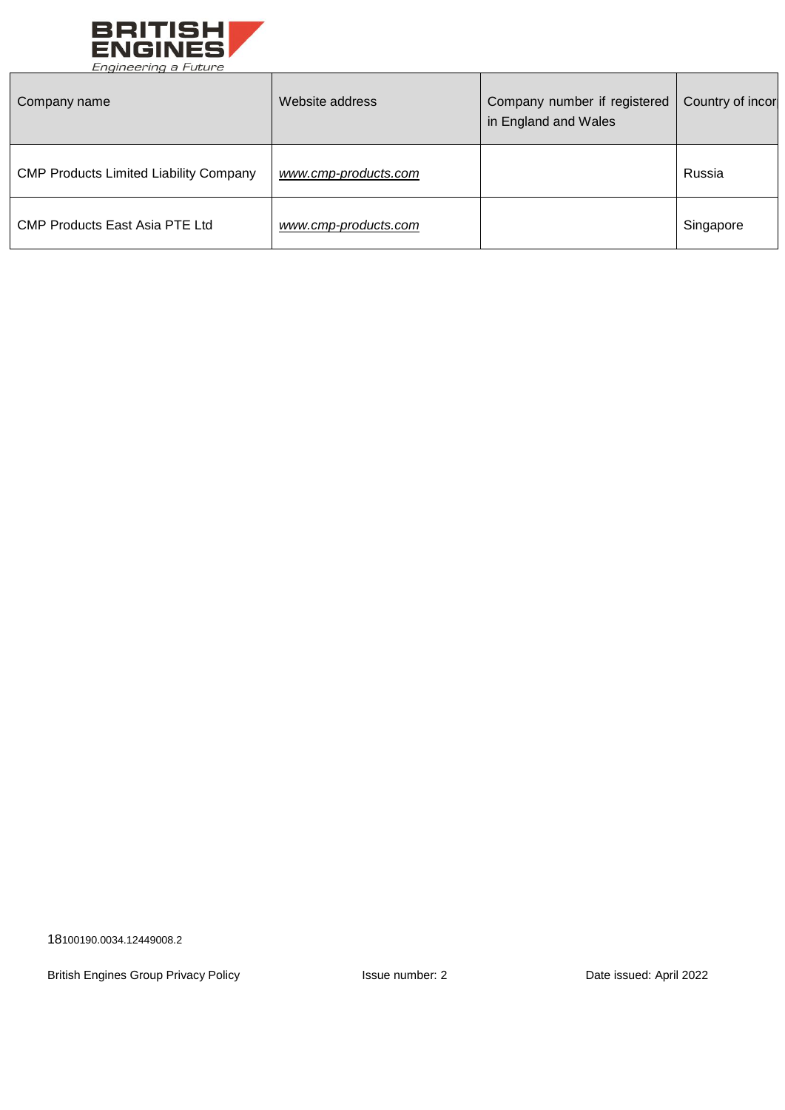

| Company name                                  | Website address      | Company number if registered<br>in England and Wales | Country of incor |
|-----------------------------------------------|----------------------|------------------------------------------------------|------------------|
| <b>CMP Products Limited Liability Company</b> | www.cmp-products.com |                                                      | Russia           |
| <b>CMP Products East Asia PTE Ltd</b>         | www.cmp-products.com |                                                      | Singapore        |

18100190.0034.12449008.2

British Engines Group Privacy Policy **Interpretity Issue number: 2** Date issued: April 2022